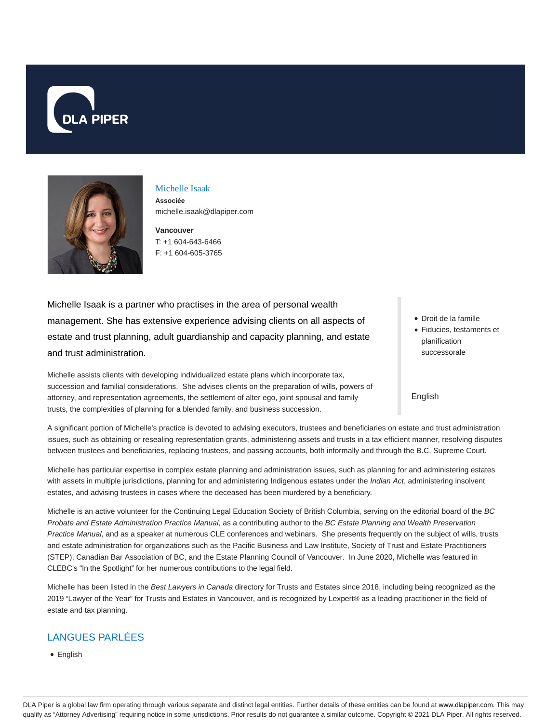



# Michelle Isaak

**Associée** michelle.isaak@dlapiper.com

**Vancouver** T: +1 604-643-6466 F: +1 604-605-3765

Michelle Isaak is a partner who practises in the area of personal wealth management. She has extensive experience advising clients on all aspects of estate and trust planning, adult guardianship and capacity planning, and estate and trust administration.

Michelle assists clients with developing individualized estate plans which incorporate tax, succession and familial considerations. She advises clients on the preparation of wills, powers of attorney, and representation agreements, the settlement of alter ego, joint spousal and family trusts, the complexities of planning for a blended family, and business succession.

- Droit de la famille
- Fiducies, testaments et planification successorale

#### English

A significant portion of Michelle's practice is devoted to advising executors, trustees and beneficiaries on estate and trust administration issues, such as obtaining or resealing representation grants, administering assets and trusts in a tax efficient manner, resolving disputes between trustees and beneficiaries, replacing trustees, and passing accounts, both informally and through the B.C. Supreme Court.

Michelle has particular expertise in complex estate planning and administration issues, such as planning for and administering estates with assets in multiple jurisdictions, planning for and administering Indigenous estates under the Indian Act, administering insolvent estates, and advising trustees in cases where the deceased has been murdered by a beneficiary.

Michelle is an active volunteer for the Continuing Legal Education Society of British Columbia, serving on the editorial board of the BC Probate and Estate Administration Practice Manual, as a contributing author to the BC Estate Planning and Wealth Preservation Practice Manual, and as a speaker at numerous CLE conferences and webinars. She presents frequently on the subject of wills, trusts and estate administration for organizations such as the Pacific Business and Law Institute, Society of Trust and Estate Practitioners (STEP), Canadian Bar Association of BC, and the Estate Planning Council of Vancouver. In June 2020, Michelle was featured in CLEBC's "In the Spotlight" for her numerous contributions to the legal field.

Michelle has been listed in the Best Lawyers in Canada directory for Trusts and Estates since 2018, including being recognized as the 2019 "Lawyer of the Year" for Trusts and Estates in Vancouver, and is recognized by Lexpert® as a leading practitioner in the field of estate and tax planning.

# LANGUES PARLÉES

English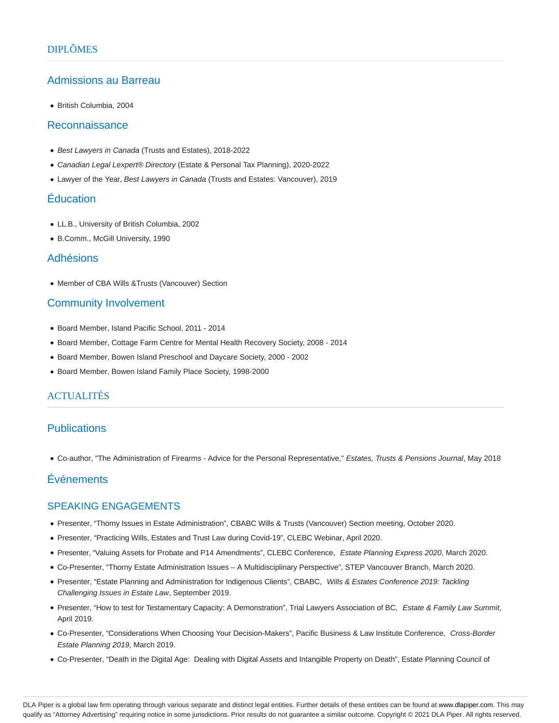### Admissions au Barreau

British Columbia, 2004

#### Reconnaissance

- Best Lawyers in Canada (Trusts and Estates), 2018-2022
- Canadian Legal Lexpert® Directory (Estate & Personal Tax Planning), 2020-2022
- Lawyer of the Year, Best Lawyers in Canada (Trusts and Estates: Vancouver), 2019

#### Éducation

- LL.B., University of British Columbia, 2002
- B.Comm., McGill University, 1990

#### Adhésions

Member of CBA Wills &Trusts (Vancouver) Section

#### Community Involvement

- Board Member, Island Pacific School, 2011 2014
- Board Member, Cottage Farm Centre for Mental Health Recovery Society, 2008 2014
- Board Member, Bowen Island Preschool and Daycare Society, 2000 2002
- Board Member, Bowen Island Family Place Society, 1998-2000

#### **ACTUALITÉS**

## Publications

Co-author, "The Administration of Firearms - Advice for the Personal Representative," Estates, Trusts & Pensions Journal, May 2018

## Événements

#### SPEAKING ENGAGEMENTS

- Presenter, "Thorny Issues in Estate Administration", CBABC Wills & Trusts (Vancouver) Section meeting, October 2020.
- Presenter, "Practicing Wills, Estates and Trust Law during Covid-19", CLEBC Webinar, April 2020.
- Presenter, "Valuing Assets for Probate and P14 Amendments", CLEBC Conference, Estate Planning Express 2020, March 2020.
- Co-Presenter, "Thorny Estate Administration Issues A Multidisciplinary Perspective", STEP Vancouver Branch, March 2020.
- Presenter, "Estate Planning and Administration for Indigenous Clients", CBABC, Wills & Estates Conference 2019: Tackling Challenging Issues in Estate Law, September 2019.
- Presenter, "How to test for Testamentary Capacity: A Demonstration", Trial Lawyers Association of BC, Estate & Family Law Summit, April 2019.
- Co-Presenter, "Considerations When Choosing Your Decision-Makers", Pacific Business & Law Institute Conference, Cross-Border Estate Planning 2019, March 2019.
- Co-Presenter, "Death in the Digital Age: Dealing with Digital Assets and Intangible Property on Death", Estate Planning Council of